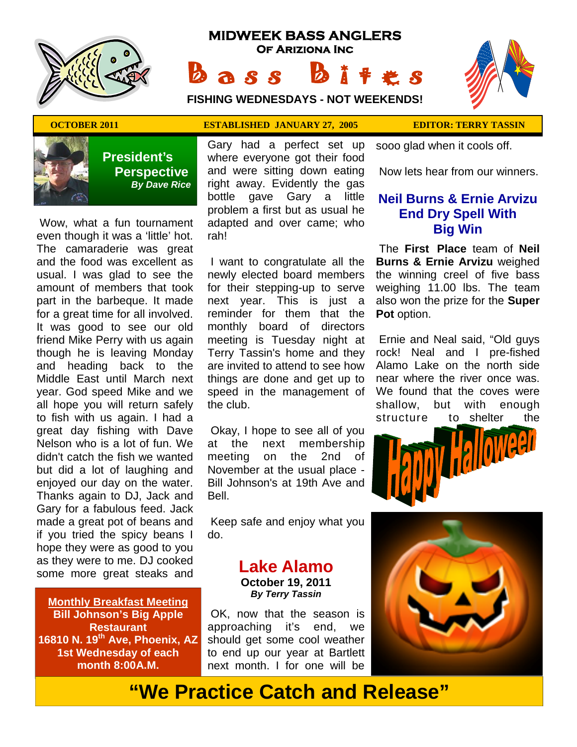

# **MIDWEEK BASS ANGLERS Of Ariziona Inc** Bass Bites

 ★ ★ ★ ★ ★ ★ ★ ★ ★ ★ ★ ★ ★ ★ ★ ★ ★ ★ ★ ★ ★ ★ ★ ★ ★ ★ ★ ★ ★  $\rightarrow$  ★ ★ ★ ★ ★**FISHING WEDNESDAYS - NOT WEEKENDS!**





 **President's Perspective**   *By Dave Rice*

 Wow, what a fun tournament even though it was a 'little' hot. The camaraderie was great and the food was excellent as usual. I was glad to see the amount of members that took part in the barbeque. It made for a great time for all involved. It was good to see our old friend Mike Perry with us again though he is leaving Monday and heading back to the Middle East until March next year. God speed Mike and we all hope you will return safely to fish with us again. I had a great day fishing with Dave Nelson who is a lot of fun. We didn't catch the fish we wanted but did a lot of laughing and enjoyed our day on the water. Thanks again to DJ, Jack and Gary for a fabulous feed. Jack made a great pot of beans and if you tried the spicy beans I hope they were as good to you as they were to me. DJ cooked some more great steaks and

**Monthly Breakfast Meeting Bill Johnson's Big Apple Restaurant 16810 N. 19th Ave, Phoenix, AZ 1st Wednesday of each month 8:00A.M.** 

Gary had a perfect set up where everyone got their food and were sitting down eating right away. Evidently the gas bottle gave Gary a little problem a first but as usual he adapted and over came; who rah!

 I want to congratulate all the newly elected board members for their stepping-up to serve next year. This is just a reminder for them that the monthly board of directors meeting is Tuesday night at Terry Tassin's home and they are invited to attend to see how things are done and get up to speed in the management of the club.

 Okay, I hope to see all of you at the next membership meeting on the 2nd of November at the usual place - Bill Johnson's at 19th Ave and Bell.

 Keep safe and enjoy what you do.

#### **Lake Alamo October 19, 2011**  *By Terry Tassin*

 OK, now that the season is approaching it's end, we should get some cool weather to end up our year at Bartlett next month. I for one will be

**OCTOBER 2011 ESTABLISHED JANUARY 27, 2005 EDITOR: TERRY TASSIN** 

sooo glad when it cools off.

Now lets hear from our winners.

#### **Neil Burns & Ernie Arvizu End Dry Spell With Big Win**

The **First Place** team of **Neil Burns & Ernie Arvizu** weighed the winning creel of five bass weighing 11.00 lbs. The team also won the prize for the **Super Pot** option.

 Ernie and Neal said, "Old guys rock! Neal and I pre-fished Alamo Lake on the north side near where the river once was. We found that the coves were shallow, but with enough structure to shelter the





# **"We Practice Catch and Release"**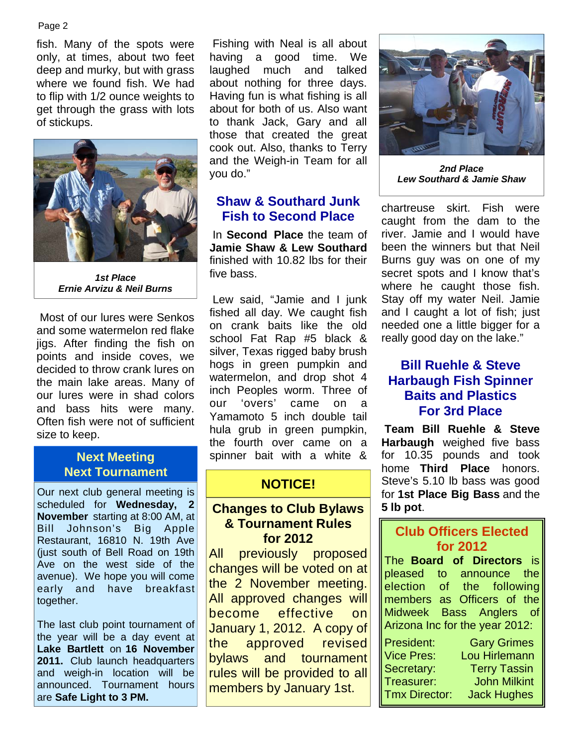#### Page 2

fish. Many of the spots were only, at times, about two feet deep and murky, but with grass where we found fish. We had to flip with 1/2 ounce weights to get through the grass with lots of stickups.



*1st Place Ernie Arvizu & Neil Burns* 

 Most of our lures were Senkos and some watermelon red flake jigs. After finding the fish on points and inside coves, we decided to throw crank lures on the main lake areas. Many of our lures were in shad colors and bass hits were many. Often fish were not of sufficient size to keep.

# **Next Tournament**

Our next club general meeting is scheduled for **Wednesday, 2 November** starting at 8:00 AM, at Bill Johnson's Big Apple Restaurant, 16810 N. 19th Ave (just south of Bell Road on 19th Ave on the west side of the avenue). We hope you will come early and have breakfast together.

The last club point tournament of the year will be a day event at **Lake Bartlett** on **16 November**  2011. Club launch headquarters and weigh-in location will be announced. Tournament hours are **Safe Light to 3 PM.**

 Fishing with Neal is all about having a good time. We laughed much and talked about nothing for three days. Having fun is what fishing is all about for both of us. Also want to thank Jack, Gary and all those that created the great cook out. Also, thanks to Terry and the Weigh-in Team for all you do."

#### **Shaw & Southard Junk Fish to Second Place**

 In **Second Place** the team of **Jamie Shaw & Lew Southard**  finished with 10.82 lbs for their five bass.

 Lew said, "Jamie and I junk fished all day. We caught fish on crank baits like the old school Fat Rap #5 black & silver, Texas rigged baby brush hogs in green pumpkin and watermelon, and drop shot 4 inch Peoples worm. Three of our 'overs' came on a Yamamoto 5 inch double tail hula grub in green pumpkin, the fourth over came on a **Next Meeting The Spinner bait with a white &** 

#### **NOTICE!**

#### **Changes to Club Bylaws & Tournament Rules for 2012**

All previously proposed changes will be voted on at the 2 November meeting. All approved changes will become effective on January 1, 2012. A copy of the approved revised bylaws and tournament rules will be provided to all members by January 1st.



*2nd Place Lew Southard & Jamie Shaw* 

chartreuse skirt. Fish were caught from the dam to the river. Jamie and I would have been the winners but that Neil Burns guy was on one of my secret spots and I know that's where he caught those fish. Stay off my water Neil. Jamie and I caught a lot of fish; just needed one a little bigger for a really good day on the lake."

## **Bill Ruehle & Steve Harbaugh Fish Spinner Baits and Plastics For 3rd Place**

**Team Bill Ruehle & Steve Harbaugh** weighed five bass for 10.35 pounds and took home **Third Place** honors. Steve's 5.10 lb bass was good for **1st Place Big Bass** and the **5 lb pot**.

## **Club Officers Elected for 2012**

The **Board of Directors** is pleased to announce the election of the following members as Officers of the Midweek Bass Anglers of Arizona Inc for the year 2012:

| President:           | <b>Gary Grimes</b>  |
|----------------------|---------------------|
| <b>Vice Pres:</b>    | Lou Hirlemann       |
| Secretary:           | <b>Terry Tassin</b> |
| Treasurer:           | <b>John Milkint</b> |
| <b>Tmx Director:</b> | <b>Jack Hughes</b>  |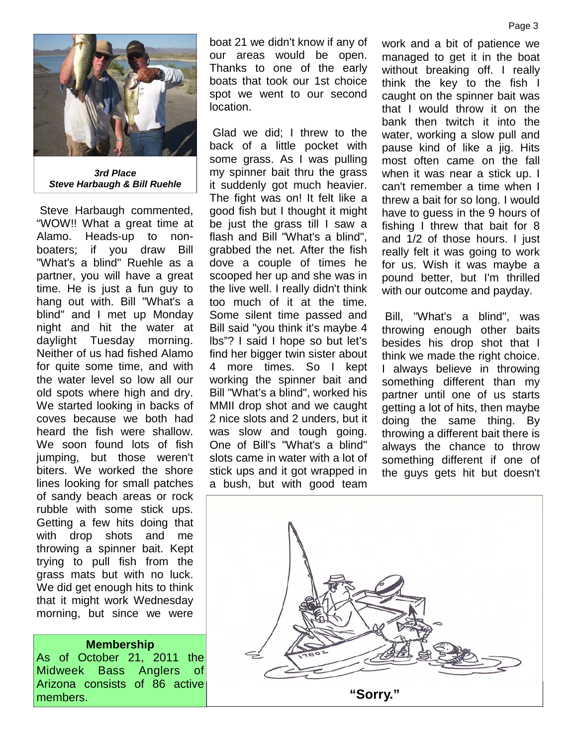

*3rd Place Steve Harbaugh & Bill Ruehle* 

 Steve Harbaugh commented, "WOW!! What a great time at Alamo. Heads-up to nonboaters; if you draw Bill "What's a blind" Ruehle as a partner, you will have a great time. He is just a fun guy to hang out with. Bill "What's a blind" and I met up Monday night and hit the water at daylight Tuesday morning. Neither of us had fished Alamo for quite some time, and with the water level so low all our old spots where high and dry. We started looking in backs of coves because we both had heard the fish were shallow. We soon found lots of fish jumping, but those weren't biters. We worked the shore lines looking for small patches of sandy beach areas or rock rubble with some stick ups. Getting a few hits doing that with drop shots and me throwing a spinner bait. Kept trying to pull fish from the grass mats but with no luck. We did get enough hits to think that it might work Wednesday morning, but since we were

#### **Membership**

As of October 21, 2011 the Midweek Bass Anglers of Arizona consists of 86 active

boat 21 we didn't know if any of our areas would be open. Thanks to one of the early boats that took our 1st choice spot we went to our second location.

 Glad we did; I threw to the back of a little pocket with some grass. As I was pulling my spinner bait thru the grass it suddenly got much heavier. The fight was on! It felt like a good fish but I thought it might be just the grass till I saw a flash and Bill "What's a blind", grabbed the net. After the fish dove a couple of times he scooped her up and she was in the live well. I really didn't think too much of it at the time. Some silent time passed and Bill said "you think it's maybe 4 lbs"? I said I hope so but let's find her bigger twin sister about 4 more times. So I kept working the spinner bait and Bill "What's a blind", worked his MMII drop shot and we caught 2 nice slots and 2 unders, but it was slow and tough going. One of Bill's "What's a blind" slots came in water with a lot of stick ups and it got wrapped in a bush, but with good team

work and a bit of patience we managed to get it in the boat without breaking off. I really think the key to the fish I caught on the spinner bait was that I would throw it on the bank then twitch it into the water, working a slow pull and pause kind of like a jig. Hits most often came on the fall when it was near a stick up. I can't remember a time when I threw a bait for so long. I would have to guess in the 9 hours of fishing I threw that bait for 8 and 1/2 of those hours. I just really felt it was going to work for us. Wish it was maybe a pound better, but I'm thrilled with our outcome and payday.

 Bill, "What's a blind", was throwing enough other baits besides his drop shot that I think we made the right choice. I always believe in throwing something different than my partner until one of us starts getting a lot of hits, then maybe doing the same thing. By throwing a different bait there is always the chance to throw something different if one of the guys gets hit but doesn't

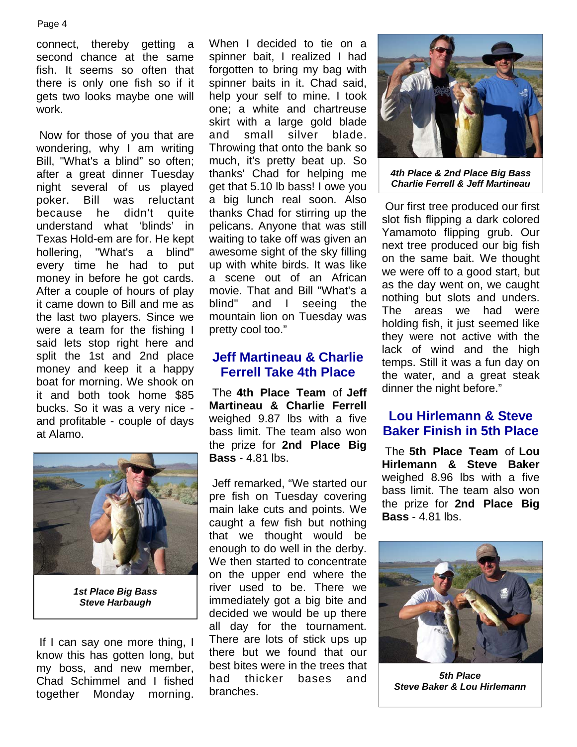connect, thereby getting a second chance at the same fish. It seems so often that there is only one fish so if it gets two looks maybe one will work.

 Now for those of you that are wondering, why I am writing Bill, "What's a blind" so often; after a great dinner Tuesday night several of us played poker. Bill was reluctant because he didn't quite understand what 'blinds' in Texas Hold-em are for. He kept hollering, "What's a blind" every time he had to put money in before he got cards. After a couple of hours of play it came down to Bill and me as the last two players. Since we were a team for the fishing I said lets stop right here and split the 1st and 2nd place money and keep it a happy boat for morning. We shook on it and both took home \$85 bucks. So it was a very nice and profitable - couple of days at Alamo.



*1st Place Big Bass Steve Harbaugh*

 If I can say one more thing, I know this has gotten long, but my boss, and new member, Chad Schimmel and I fished together Monday morning. When I decided to tie on a spinner bait, I realized I had forgotten to bring my bag with spinner baits in it. Chad said, help your self to mine. I took one; a white and chartreuse skirt with a large gold blade and small silver blade. Throwing that onto the bank so much, it's pretty beat up. So thanks' Chad for helping me get that 5.10 lb bass! I owe you a big lunch real soon. Also thanks Chad for stirring up the pelicans. Anyone that was still waiting to take off was given an awesome sight of the sky filling up with white birds. It was like a scene out of an African movie. That and Bill "What's a blind" and I seeing the mountain lion on Tuesday was pretty cool too."

## **Jeff Martineau & Charlie Ferrell Take 4th Place**

 The **4th Place Team** of **Jeff Martineau & Charlie Ferrell**  weighed 9.87 lbs with a five bass limit. The team also won the prize for **2nd Place Big Bass** - 4.81 lbs.

 Jeff remarked, "We started our pre fish on Tuesday covering main lake cuts and points. We caught a few fish but nothing that we thought would be enough to do well in the derby. We then started to concentrate on the upper end where the river used to be. There we immediately got a big bite and decided we would be up there all day for the tournament. There are lots of stick ups up there but we found that our best bites were in the trees that had thicker bases and branches.



*4th Place & 2nd Place Big Bass Charlie Ferrell & Jeff Martineau* 

 Our first tree produced our first slot fish flipping a dark colored Yamamoto flipping grub. Our next tree produced our big fish on the same bait. We thought we were off to a good start, but as the day went on, we caught nothing but slots and unders. The areas we had were holding fish, it just seemed like they were not active with the lack of wind and the high temps. Still it was a fun day on the water, and a great steak dinner the night before."

## **Lou Hirlemann & Steve Baker Finish in 5th Place**

 The **5th Place Team** of **Lou Hirlemann & Steve Baker**  weighed 8.96 lbs with a five bass limit. The team also won the prize for **2nd Place Big Bass** - 4.81 lbs.



*5th Place Steve Baker & Lou Hirlemann*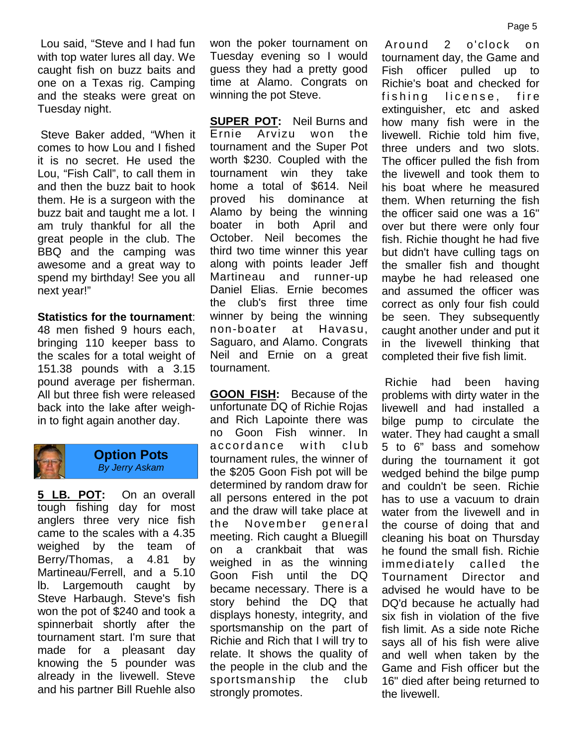Lou said, "Steve and I had fun with top water lures all day. We caught fish on buzz baits and one on a Texas rig. Camping and the steaks were great on Tuesday night.

 Steve Baker added, "When it comes to how Lou and I fished it is no secret. He used the Lou, "Fish Call", to call them in and then the buzz bait to hook them. He is a surgeon with the buzz bait and taught me a lot. I am truly thankful for all the great people in the club. The BBQ and the camping was awesome and a great way to spend my birthday! See you all next year!"

**Statistics for the tournament**: 48 men fished 9 hours each, bringing 110 keeper bass to the scales for a total weight of 151.38 pounds with a 3.15 pound average per fisherman. All but three fish were released back into the lake after weighin to fight again another day.



#### **Option Pots**  *By Jerry Askam*

**5 LB. POT:** On an overall tough fishing day for most anglers three very nice fish came to the scales with a 4.35 weighed by the team of Berry/Thomas, a 4.81 by Martineau/Ferrell, and a 5.10 lb. Largemouth caught by Steve Harbaugh. Steve's fish won the pot of \$240 and took a spinnerbait shortly after the tournament start. I'm sure that made for a pleasant day knowing the 5 pounder was already in the livewell. Steve and his partner Bill Ruehle also

won the poker tournament on Tuesday evening so I would guess they had a pretty good time at Alamo. Congrats on winning the pot Steve.

**SUPER POT:** Neil Burns and Ernie Arvizu won the tournament and the Super Pot worth \$230. Coupled with the tournament win they take home a total of \$614. Neil proved his dominance at Alamo by being the winning boater in both April and October. Neil becomes the third two time winner this year along with points leader Jeff Martineau and runner-up Daniel Elias. Ernie becomes the club's first three time winner by being the winning non-boater at Havasu, Saguaro, and Alamo. Congrats Neil and Ernie on a great tournament.

**GOON FISH:** Because of the unfortunate DQ of Richie Rojas and Rich Lapointe there was no Goon Fish winner. In accordance with club tournament rules, the winner of the \$205 Goon Fish pot will be determined by random draw for all persons entered in the pot and the draw will take place at the November general meeting. Rich caught a Bluegill on a crankbait that was weighed in as the winning Goon Fish until the DQ became necessary. There is a story behind the DQ that displays honesty, integrity, and sportsmanship on the part of Richie and Rich that I will try to relate. It shows the quality of the people in the club and the sportsmanship the club strongly promotes.

 Around 2 o'clock on tournament day, the Game and Fish officer pulled up to Richie's boat and checked for fishing license, fire extinguisher, etc and asked how many fish were in the livewell. Richie told him five, three unders and two slots. The officer pulled the fish from the livewell and took them to his boat where he measured them. When returning the fish the officer said one was a 16" over but there were only four fish. Richie thought he had five but didn't have culling tags on the smaller fish and thought maybe he had released one and assumed the officer was correct as only four fish could be seen. They subsequently caught another under and put it in the livewell thinking that completed their five fish limit.

 Richie had been having problems with dirty water in the livewell and had installed a bilge pump to circulate the water. They had caught a small 5 to 6" bass and somehow during the tournament it got wedged behind the bilge pump and couldn't be seen. Richie has to use a vacuum to drain water from the livewell and in the course of doing that and cleaning his boat on Thursday he found the small fish. Richie immediately called the Tournament Director and advised he would have to be DQ'd because he actually had six fish in violation of the five fish limit. As a side note Riche says all of his fish were alive and well when taken by the Game and Fish officer but the 16" died after being returned to the livewell.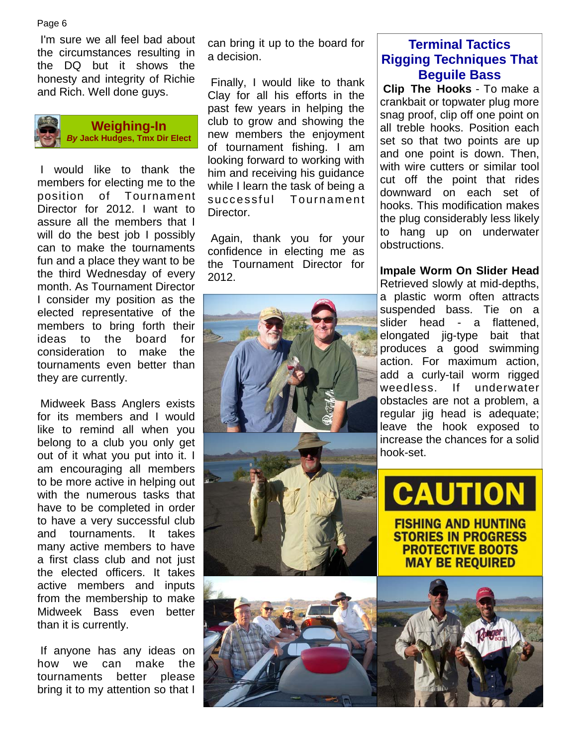I'm sure we all feel bad about the circumstances resulting in the DQ but it shows the honesty and integrity of Richie and Rich. Well done guys.



**Weighing-In**  *By* **Jack Hudges, Tmx Dir Elect**

 I would like to thank the members for electing me to the position of Tournament Director for 2012. I want to assure all the members that I will do the best job I possibly can to make the tournaments fun and a place they want to be the third Wednesday of every month. As Tournament Director I consider my position as the elected representative of the members to bring forth their ideas to the board for consideration to make the tournaments even better than they are currently.

 Midweek Bass Anglers exists for its members and I would like to remind all when you belong to a club you only get out of it what you put into it. I am encouraging all members to be more active in helping out with the numerous tasks that have to be completed in order to have a very successful club and tournaments. It takes many active members to have a first class club and not just the elected officers. It takes active members and inputs from the membership to make Midweek Bass even better than it is currently.

 If anyone has any ideas on how we can make the tournaments better please bring it to my attention so that I

can bring it up to the board for a decision.

 Finally, I would like to thank Clay for all his efforts in the past few years in helping the club to grow and showing the new members the enjoyment of tournament fishing. I am looking forward to working with him and receiving his guidance while I learn the task of being a successful Tournament Director.

 Again, thank you for your confidence in electing me as the Tournament Director for 2012.



## **Terminal Tactics Rigging Techniques That Beguile Bass**

 **Clip The Hooks** - To make a crankbait or topwater plug more snag proof, clip off one point on all treble hooks. Position each set so that two points are up and one point is down. Then, with wire cutters or similar tool cut off the point that rides downward on each set of hooks. This modification makes the plug considerably less likely to hang up on underwater obstructions.

**Impale Worm On Slider Head** Retrieved slowly at mid-depths, a plastic worm often attracts suspended bass. Tie on a slider head - a flattened, elongated jig-type bait that produces a good swimming action. For maximum action, add a curly-tail worm rigged weedless. If underwater obstacles are not a problem, a regular jig head is adequate; leave the hook exposed to increase the chances for a solid hook-set.

CAUTIO **FISHING AND HUNTING STORIES IN PROGRESS PROTECTIVE BOOTS MAY BE REQUIRED** 

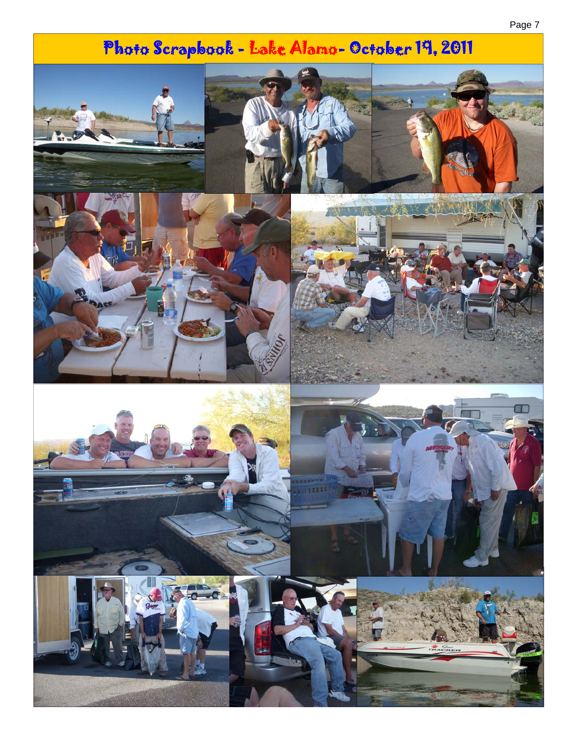